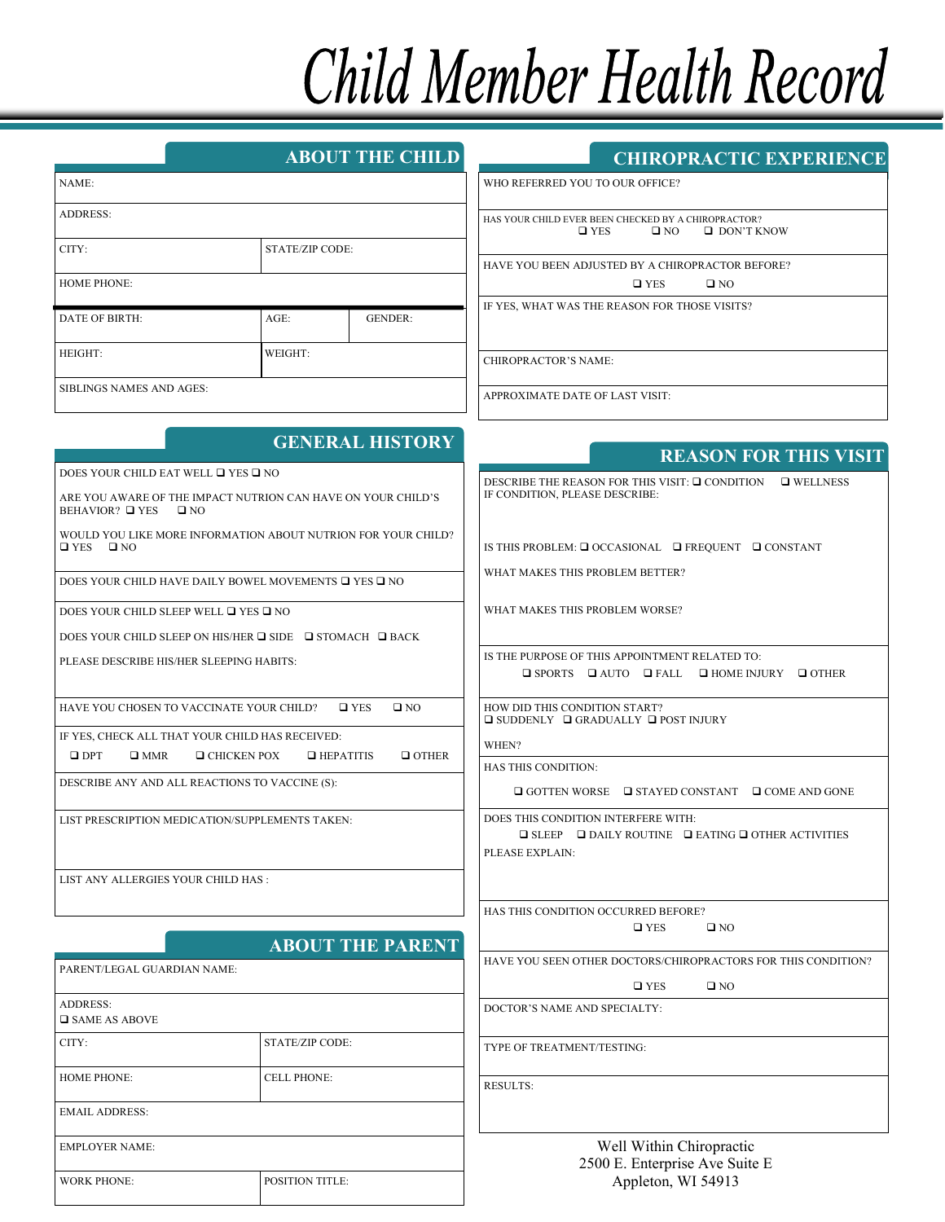# **Child Member Health Record**

| <b>ABOUT THE CHILD</b> |  |
|------------------------|--|
|                        |  |
|                        |  |

| NAME:                    |                        |                |  |
|--------------------------|------------------------|----------------|--|
| <b>ADDRESS:</b>          |                        |                |  |
| CITY:                    | <b>STATE/ZIP CODE:</b> |                |  |
| <b>HOME PHONE:</b>       |                        |                |  |
| DATE OF BIRTH:           | $AGE$ :                | <b>GENDER:</b> |  |
| HEIGHT:                  | WEIGHT:                |                |  |
| SIBLINGS NAMES AND AGES: |                        |                |  |

# **CHIROPRACTIC EXPERIENCE**

WHO REFERRED YOU TO OUR OFFICE?

HAS YOUR CHILD EVER BEEN CHECKED BY A CHIROPRACTOR?<br> $\Box$  YES  $\Box$  NO  $\Box$  DON'T K  $\square$  DON'T KNOW

HAVE YOU BEEN ADJUSTED BY A CHIROPRACTOR BEFORE?

 $\Box$  YES  $\Box$  NO

IF YES, WHAT WAS THE REASON FOR THOSE VISITS?

CHIROPRACTOR'S NAME:

APPROXIMATE DATE OF LAST VISIT:

|                                                                                                 | <b>GENERAL HISTORY</b>                                                  | <b>REASON FOR THIS VISIT</b>                                                                                                      |  |  |
|-------------------------------------------------------------------------------------------------|-------------------------------------------------------------------------|-----------------------------------------------------------------------------------------------------------------------------------|--|--|
| DOES YOUR CHILD EAT WELL □ YES □ NO                                                             |                                                                         |                                                                                                                                   |  |  |
| ARE YOU AWARE OF THE IMPACT NUTRION CAN HAVE ON YOUR CHILD'S<br>BEHAVIOR? □ YES<br>$\square$ NO |                                                                         | DESCRIBE THE REASON FOR THIS VISIT: □ CONDITION □ WELLNESS<br>IF CONDITION, PLEASE DESCRIBE:                                      |  |  |
| WOULD YOU LIKE MORE INFORMATION ABOUT NUTRION FOR YOUR CHILD?<br>$\square$ YES<br>$\Box$ NO     |                                                                         | IS THIS PROBLEM: Q OCCASIONAL Q FREQUENT Q CONSTANT                                                                               |  |  |
|                                                                                                 | DOES YOUR CHILD HAVE DAILY BOWEL MOVEMENTS $\Box$ YES $\Box$ NO         | WHAT MAKES THIS PROBLEM BETTER?                                                                                                   |  |  |
| DOES YOUR CHILD SLEEP WELL □ YES □ NO                                                           |                                                                         | WHAT MAKES THIS PROBLEM WORSE?                                                                                                    |  |  |
|                                                                                                 | DOES YOUR CHILD SLEEP ON HIS/HER $\Box$ SIDE $\Box$ STOMACH $\Box$ BACK |                                                                                                                                   |  |  |
| PLEASE DESCRIBE HIS/HER SLEEPING HABITS:                                                        |                                                                         | IS THE PURPOSE OF THIS APPOINTMENT RELATED TO:<br>$\Box$ SPORTS $\Box$ AUTO $\Box$ FALL $\Box$ HOME INJURY $\Box$ OTHER           |  |  |
| HAVE YOU CHOSEN TO VACCINATE YOUR CHILD?                                                        | $\square$ YES<br>$\square$ NO                                           | HOW DID THIS CONDITION START?<br>$\Box$ SUDDENLY $\Box$ GRADUALLY $\Box$ POST INJURY                                              |  |  |
|                                                                                                 | IF YES, CHECK ALL THAT YOUR CHILD HAS RECEIVED:                         | WHEN?                                                                                                                             |  |  |
| $\square$ DPT<br>$\square$ MMR                                                                  | $\Box$ CHICKEN POX<br>$\Box$ OTHER<br>$\Box$ HEPATITIS                  | <b>HAS THIS CONDITION:</b>                                                                                                        |  |  |
| DESCRIBE ANY AND ALL REACTIONS TO VACCINE (S):                                                  |                                                                         | $\Box$ GOTTEN WORSE $\Box$ STAYED CONSTANT $\Box$ COME AND GONE                                                                   |  |  |
|                                                                                                 | LIST PRESCRIPTION MEDICATION/SUPPLEMENTS TAKEN:                         | DOES THIS CONDITION INTERFERE WITH:<br>$\Box$ SLEEP $\Box$ DAILY ROUTINE $\Box$ EATING $\Box$ OTHER ACTIVITIES<br>PLEASE EXPLAIN: |  |  |
| LIST ANY ALLERGIES YOUR CHILD HAS :                                                             |                                                                         |                                                                                                                                   |  |  |
|                                                                                                 | <b>ABOUT THE PARENT</b>                                                 | HAS THIS CONDITION OCCURRED BEFORE?<br>$\square$ YES<br>$\square$ NO                                                              |  |  |
|                                                                                                 |                                                                         | HAVE YOU SEEN OTHER DOCTORS/CHIROPRACTORS FOR THIS CONDITION?                                                                     |  |  |
| PARENT/LEGAL GUARDIAN NAME:                                                                     |                                                                         | $\square$ YES<br>$\square$ NO                                                                                                     |  |  |
| <b>ADDRESS:</b><br>$\square$ SAME AS ABOVE                                                      |                                                                         | DOCTOR'S NAME AND SPECIALTY:                                                                                                      |  |  |
| CITY:                                                                                           | <b>STATE/ZIP CODE:</b>                                                  | TYPE OF TREATMENT/TESTING:                                                                                                        |  |  |
| <b>HOME PHONE:</b>                                                                              | <b>CELL PHONE:</b>                                                      | <b>RESULTS:</b>                                                                                                                   |  |  |

## Well Within Chiropractic 2500 E. Enterprise Ave Suite E Appleton, WI 54913

|                                            | ABOUT THE PAREN        |  |
|--------------------------------------------|------------------------|--|
| PARENT/LEGAL GUARDIAN NAME:                |                        |  |
| <b>ADDRESS:</b><br>$\square$ SAME AS ABOVE |                        |  |
| CITY:                                      | <b>STATE/ZIP CODE:</b> |  |
| <b>HOME PHONE:</b>                         | <b>CELL PHONE:</b>     |  |
| <b>EMAIL ADDRESS:</b>                      |                        |  |
| <b>EMPLOYER NAME:</b>                      |                        |  |
| <b>WORK PHONE:</b>                         | POSITION TITLE:        |  |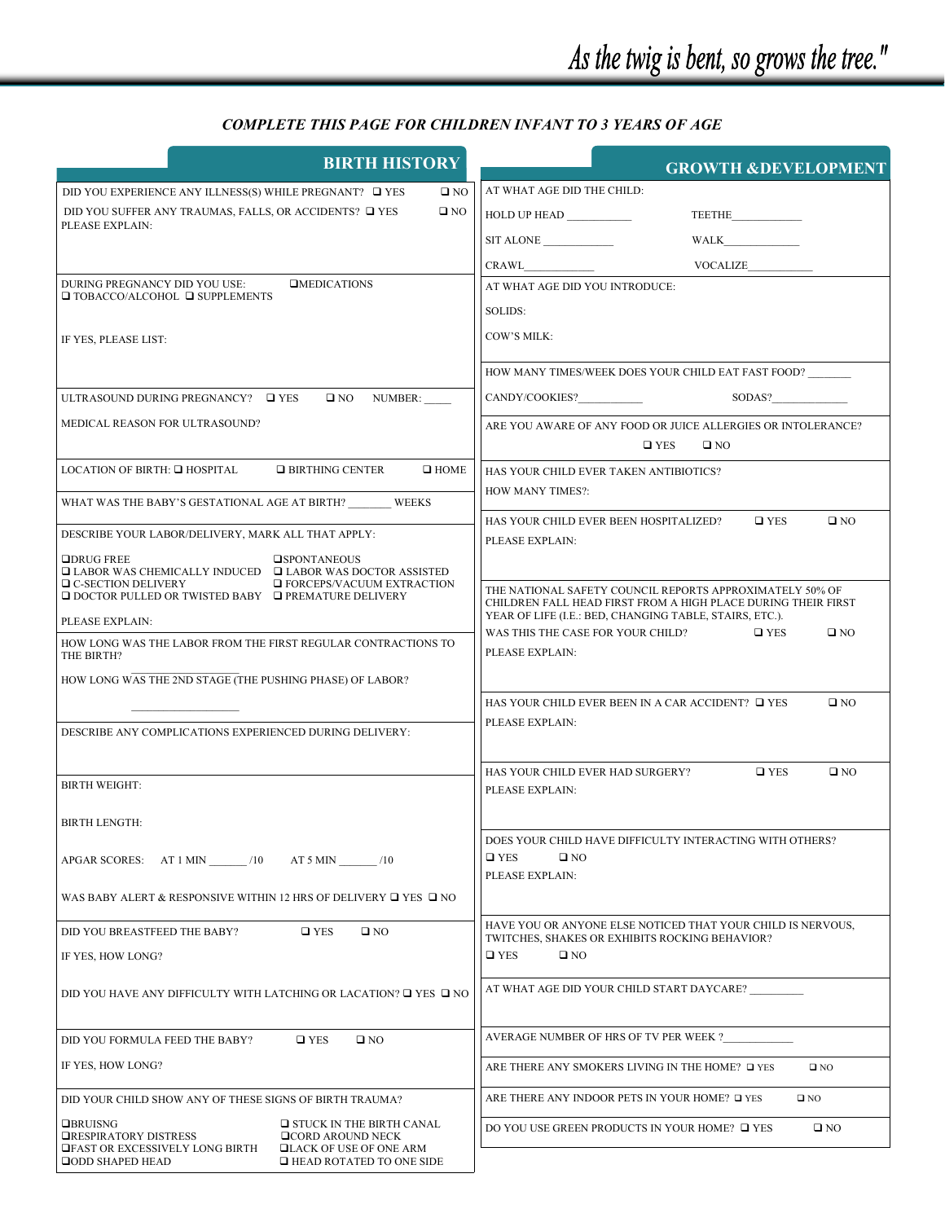# *COMPLETE THIS PAGE FOR CHILDREN INFANT TO 3 YEARS OF AGE*

| <b>BIRTH HISTORY</b>                                                                                                                       | <b>GROWTH &amp;DEVELOPMENT</b>                                                                                                |  |  |
|--------------------------------------------------------------------------------------------------------------------------------------------|-------------------------------------------------------------------------------------------------------------------------------|--|--|
| DID YOU EXPERIENCE ANY ILLNESS(S) WHILE PREGNANT? $\Box$ YES<br>$\square$ NO                                                               | AT WHAT AGE DID THE CHILD:                                                                                                    |  |  |
| DID YOU SUFFER ANY TRAUMAS, FALLS, OR ACCIDENTS? $\Box$ YES<br>$\square$ NO                                                                | <b>HOLD UP HEAD</b><br><b>TEETHE</b>                                                                                          |  |  |
| PLEASE EXPLAIN:                                                                                                                            | <b>WALK</b>                                                                                                                   |  |  |
|                                                                                                                                            | CRAWL<br>VOCALIZE                                                                                                             |  |  |
| DURING PREGNANCY DID YOU USE:<br><b>OMEDICATIONS</b>                                                                                       | AT WHAT AGE DID YOU INTRODUCE:                                                                                                |  |  |
| $\Box$ TOBACCO/ALCOHOL $\Box$ SUPPLEMENTS                                                                                                  | SOLIDS:                                                                                                                       |  |  |
| IF YES, PLEASE LIST:                                                                                                                       | COW'S MILK:                                                                                                                   |  |  |
|                                                                                                                                            | HOW MANY TIMES/WEEK DOES YOUR CHILD EAT FAST FOOD?                                                                            |  |  |
| ULTRASOUND DURING PREGNANCY? □ YES<br>$\Box$ NO NUMBER:                                                                                    |                                                                                                                               |  |  |
| MEDICAL REASON FOR ULTRASOUND?                                                                                                             | ARE YOU AWARE OF ANY FOOD OR JUICE ALLERGIES OR INTOLERANCE?                                                                  |  |  |
|                                                                                                                                            | $\square$ YES<br>$\square$ NO                                                                                                 |  |  |
| LOCATION OF BIRTH: □ HOSPITAL<br>$\Box$ BIRTHING CENTER<br>$\Box$ HOME                                                                     | HAS YOUR CHILD EVER TAKEN ANTIBIOTICS?                                                                                        |  |  |
| WHAT WAS THE BABY'S GESTATIONAL AGE AT BIRTH? WEEKS                                                                                        | HOW MANY TIMES?:                                                                                                              |  |  |
|                                                                                                                                            | HAS YOUR CHILD EVER BEEN HOSPITALIZED?<br>$\Box$ YES<br>$\square$ NO                                                          |  |  |
| DESCRIBE YOUR LABOR/DELIVERY, MARK ALL THAT APPLY:                                                                                         | PLEASE EXPLAIN:                                                                                                               |  |  |
| $\Box$ DRUG FREE<br><b>OSPONTANEOUS</b><br>$\Box$ LABOR WAS CHEMICALLY INDUCED $\Box$ LABOR WAS DOCTOR ASSISTED                            |                                                                                                                               |  |  |
| $\Box$ C-SECTION DELIVERY<br><b>EXTRACTION</b> EXTRACTION<br>$\Box$ DOCTOR PULLED OR TWISTED BABY $\Box$ PREMATURE DELIVERY                | THE NATIONAL SAFETY COUNCIL REPORTS APPROXIMATELY 50% OF<br>CHILDREN FALL HEAD FIRST FROM A HIGH PLACE DURING THEIR FIRST     |  |  |
| PLEASE EXPLAIN:                                                                                                                            | YEAR OF LIFE (I.E.: BED, CHANGING TABLE, STAIRS, ETC.).<br>WAS THIS THE CASE FOR YOUR CHILD?<br>$\square$ YES<br>$\square$ NO |  |  |
| HOW LONG WAS THE LABOR FROM THE FIRST REGULAR CONTRACTIONS TO<br>THE BIRTH?                                                                | PLEASE EXPLAIN:                                                                                                               |  |  |
| HOW LONG WAS THE 2ND STAGE (THE PUSHING PHASE) OF LABOR?                                                                                   |                                                                                                                               |  |  |
|                                                                                                                                            | HAS YOUR CHILD EVER BEEN IN A CAR ACCIDENT? $\Box$ YES<br>$\square$ NO                                                        |  |  |
| DESCRIBE ANY COMPLICATIONS EXPERIENCED DURING DELIVERY:                                                                                    | PLEASE EXPLAIN:                                                                                                               |  |  |
|                                                                                                                                            |                                                                                                                               |  |  |
|                                                                                                                                            | $\square$ YES<br>HAS YOUR CHILD EVER HAD SURGERY?<br>$\square$ NO                                                             |  |  |
| <b>BIRTH WEIGHT:</b>                                                                                                                       | PLEASE EXPLAIN:                                                                                                               |  |  |
| <b>BIRTH LENGTH:</b>                                                                                                                       |                                                                                                                               |  |  |
|                                                                                                                                            | DOES YOUR CHILD HAVE DIFFICULTY INTERACTING WITH OTHERS?                                                                      |  |  |
| APGAR SCORES: AT 1 MIN /10<br>$AT 5 MIN$ /10                                                                                               | $\square$ YES<br>$\square$ NO                                                                                                 |  |  |
| WAS BABY ALERT & RESPONSIVE WITHIN 12 HRS OF DELIVERY $\Box$ YES $\Box$ NO                                                                 | PLEASE EXPLAIN:                                                                                                               |  |  |
| DID YOU BREASTFEED THE BABY?<br>$\square$ YES<br>$\square$ NO                                                                              | HAVE YOU OR ANYONE ELSE NOTICED THAT YOUR CHILD IS NERVOUS,                                                                   |  |  |
| IF YES, HOW LONG?                                                                                                                          | TWITCHES, SHAKES OR EXHIBITS ROCKING BEHAVIOR?<br>$\square$ YES<br>$\square$ NO                                               |  |  |
|                                                                                                                                            |                                                                                                                               |  |  |
| DID YOU HAVE ANY DIFFICULTY WITH LATCHING OR LACATION? $\square$ YES $\square$ NO                                                          | AT WHAT AGE DID YOUR CHILD START DAYCARE?                                                                                     |  |  |
| DID YOU FORMULA FEED THE BABY?<br>$\square$ YES<br>$\square$ NO                                                                            | AVERAGE NUMBER OF HRS OF TV PER WEEK ?                                                                                        |  |  |
| IF YES, HOW LONG?                                                                                                                          | ARE THERE ANY SMOKERS LIVING IN THE HOME? □ YES<br>$\square$ NO                                                               |  |  |
| DID YOUR CHILD SHOW ANY OF THESE SIGNS OF BIRTH TRAUMA?                                                                                    | ARE THERE ANY INDOOR PETS IN YOUR HOME? □ YES<br>$\square$ NO                                                                 |  |  |
| <b>OBRUISNG</b><br>$\Box$ STUCK IN THE BIRTH CANAL<br><b>TRESPIRATORY DISTRESS</b><br><b>QCORD AROUND NECK</b>                             | DO YOU USE GREEN PRODUCTS IN YOUR HOME? □ YES<br>$\square$ NO                                                                 |  |  |
| <b>THE TEAST OR EXCESSIVELY LONG BIRTH</b><br><b>QLACK OF USE OF ONE ARM</b><br><b>QODD SHAPED HEAD</b><br>$\Box$ HEAD ROTATED TO ONE SIDE |                                                                                                                               |  |  |